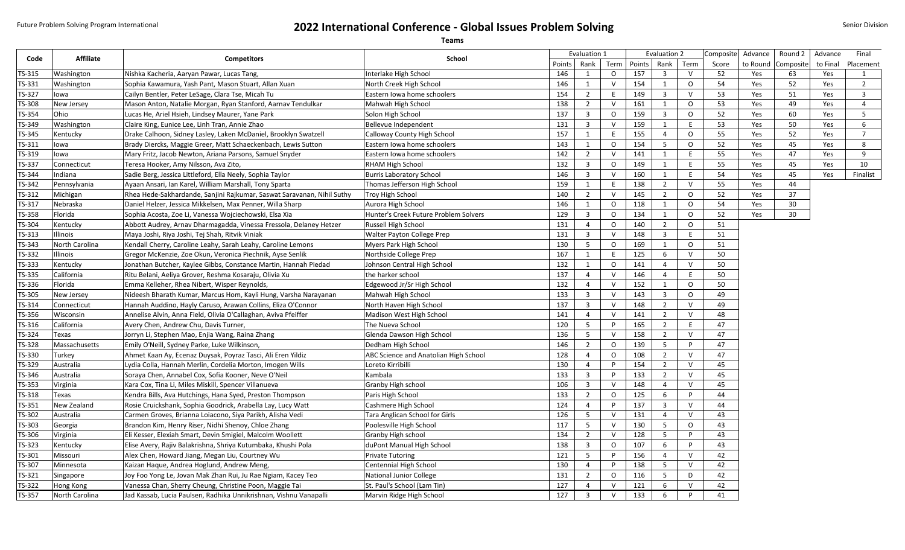## Future Problem Solving Program International **2022 International Conference - Global Issues Problem Solving**

|        | <b>Teams</b>     |                                                                        |                                       |              |                         |              |              |                         |           |         |          |           |          |                |
|--------|------------------|------------------------------------------------------------------------|---------------------------------------|--------------|-------------------------|--------------|--------------|-------------------------|-----------|---------|----------|-----------|----------|----------------|
| Code   | <b>Affiliate</b> | <b>Competitors</b>                                                     | School                                | Evaluation 1 |                         |              | Evaluation 2 |                         | Composite | Advance | Round 2  | Advance   | Final    |                |
|        |                  |                                                                        |                                       | Points       | Rank                    | Term         | Points       | Rank                    | Term      | Score   | to Round | Composite | to Final | Placement      |
| TS-315 | Washington       | Nishka Kacheria, Aaryan Pawar, Lucas Tang,                             | Interlake High School                 | 146          | 1                       | $\circ$      | 157          | $\overline{\mathbf{3}}$ | $\vee$    | 52      | Yes      | 63        | Yes      | $\mathbf{1}$   |
| TS-331 | Washington       | Sophia Kawamura, Yash Pant, Mason Stuart, Allan Xuan                   | North Creek High School               | 146          | $\mathbf{1}$            | $\mathsf{V}$ | 154          | 1                       | $\circ$   | 54      | Yes      | 52        | Yes      | $\overline{2}$ |
| TS-327 | lowa             | Cailyn Bentler, Peter LeSage, Clara Tse, Micah Tu                      | Eastern Iowa home schoolers           | 154          | $\overline{2}$          | E            | 149          | $\overline{3}$          | $\vee$    | 53      | Yes      | 51        | Yes      | $\overline{3}$ |
| TS-308 | New Jersey       | Mason Anton, Natalie Morgan, Ryan Stanford, Aarnav Tendulkar           | Mahwah High School                    | 138          | $\overline{2}$          | $\mathsf{V}$ | 161          | 1                       | $\circ$   | 53      | Yes      | 49        | Yes      | $\overline{4}$ |
| TS-354 | Ohio             | Lucas He, Ariel Hsieh, Lindsey Maurer, Yane Park                       | Solon High School                     | 137          | $\overline{\mathbf{3}}$ | $\mathsf{O}$ | 159          | $\overline{3}$          | $\circ$   | 52      | Yes      | 60        | Yes      | 5 <sup>5</sup> |
| TS-349 | Washington       | Claire King, Eunice Lee, Linh Tran, Annie Zhao                         | Bellevue Independent                  | 131          | $\overline{\mathbf{3}}$ | $\mathsf{V}$ | 159          | 1                       | E         | 53      | Yes      | 50        | Yes      | 6              |
| TS-345 | Kentucky         | Drake Calhoon, Sidney Lasley, Laken McDaniel, Brooklyn Swatzell        | Calloway County High School           | 157          | 1                       | F.           | 155          | $\overline{4}$          | $\circ$   | 55      | Yes      | 52        | Yes      | $\overline{7}$ |
| TS-311 | lowa             | Brady Diercks, Maggie Greer, Matt Schaeckenbach, Lewis Sutton          | Eastern Iowa home schoolers           | 143          | 1                       | $\circ$      | 154          | 5                       | $\circ$   | 52      | Yes      | 45        | Yes      | 8              |
| TS-319 | lowa             | Mary Fritz, Jacob Newton, Ariana Parsons, Samuel Snyder                | Eastern Iowa home schoolers           | 142          | 2                       | $\vee$       | 141          | 1                       | E         | 55      | Yes      | 47        | Yes      | 9              |
| TS-337 | Connecticut      | Teresa Hooker, Amy Nilsson, Ava Zito,                                  | RHAM High School                      | 132          | $\overline{\mathbf{3}}$ | $\circ$      | 149          | 1                       | E         | 55      | Yes      | 45        | Yes      | 10             |
| TS-344 | Indiana          | Sadie Berg, Jessica Littleford, Ella Neely, Sophia Taylor              | <b>Burris Laboratory School</b>       | 146          | $\overline{\mathbf{3}}$ | $\mathsf{V}$ | 160          | $\mathbf{1}$            | E         | 54      | Yes      | 45        | Yes      | Finalist       |
| TS-342 | Pennsylvania     | Ayaan Ansari, Ian Karel, William Marshall, Tony Sparta                 | Thomas Jefferson High School          | 159          | 1                       | E            | 138          | $\overline{2}$          | $\vee$    | 55      | Yes      | 44        |          |                |
| TS-312 | Michigan         | Rhea Hede-Sakhardande, Sanjini Rajkumar, Saswat Saravanan, Nihil Suthy | Troy High School                      | 140          | $\overline{2}$          | $\mathsf{V}$ | 145          | $\overline{2}$          | $\circ$   | 52      | Yes      | 37        |          |                |
| TS-317 | Nebraska         | Daniel Helzer, Jessica Mikkelsen, Max Penner, Willa Sharp              | Aurora High School                    | 146          | 1                       | $\circ$      | 118          | 1                       | $\circ$   | 54      | Yes      | 30        |          |                |
| TS-358 | Florida          | Sophia Acosta, Zoe Li, Vanessa Wojciechowski, Elsa Xia                 | Hunter's Creek Future Problem Solvers | 129          | $\overline{3}$          | $\circ$      | 134          | 1                       | $\circ$   | 52      | Yes      | 30        |          |                |
| TS-304 | Kentucky         | Abbott Audrey, Arnav Dharmagadda, Vinessa Fressola, Delaney Hetzer     | Russell High School                   | 131          | $\overline{4}$          | $\mathsf O$  | 140          | $\overline{2}$          | $\circ$   | 51      |          |           |          |                |
| TS-313 | Illinois         | Maya Joshi, Riya Joshi, Tej Shah, Ritvik Viniak                        | Walter Payton College Prep            | 131          | $\overline{\mathbf{3}}$ | $\mathsf{V}$ | 148          | $\overline{3}$          | E         | 51      |          |           |          |                |
| TS-343 | North Carolina   | Kendall Cherry, Caroline Leahy, Sarah Leahy, Caroline Lemons           | Myers Park High School                | 130          | 5                       | $\Omega$     | 169          | 1                       | $\circ$   | 51      |          |           |          |                |
| TS-332 | Illinois         | Gregor McKenzie, Zoe Okun, Veronica Piechnik, Ayse Senlik              | Northside College Prep                | 167          | 1                       | E            | 125          | 6                       | $\vee$    | 50      |          |           |          |                |
| TS-333 | Kentucky         | Jonathan Butcher, Kaylee Gibbs, Constance Martin, Hannah Piedad        | Johnson Central High School           | 132          | 1                       | $\mathsf{O}$ | 141          | $\overline{4}$          | $\vee$    | 50      |          |           |          |                |
| TS-335 | California       | Ritu Belani, Aeliya Grover, Reshma Kosaraju, Olivia Xu                 | the harker school                     | 137          | $\overline{4}$          | $\mathsf{V}$ | 146          | $\overline{4}$          | E         | 50      |          |           |          |                |
| TS-336 | Florida          | Emma Kelleher, Rhea Nibert, Wisper Reynolds,                           | Edgewood Jr/Sr High School            | 132          | $\overline{4}$          | $\vee$       | 152          | 1                       | $\circ$   | 50      |          |           |          |                |
| TS-305 | New Jersey       | Nideesh Bharath Kumar, Marcus Hom, Kayli Hung, Varsha Narayanan        | Mahwah High School                    | 133          | $\overline{\mathbf{3}}$ | $\vee$       | 143          | $\overline{3}$          | $\circ$   | 49      |          |           |          |                |
| TS-314 | Connecticut      | Hannah Auddino, Hayly Caruso, Arawan Collins, Eliza O'Connor           | North Haven High School               | 137          | $\overline{\mathbf{3}}$ | $\vee$       | 148          | $\overline{2}$          | $\vee$    | 49      |          |           |          |                |
| TS-356 | Wisconsin        | Annelise Alvin, Anna Field, Olivia O'Callaghan, Aviva Pfeiffer         | Madison West High School              | 141          | $\overline{4}$          | $\vee$       | 141          | $\overline{2}$          | V         | 48      |          |           |          |                |
| TS-316 | California       | Avery Chen, Andrew Chu, Davis Turner,                                  | The Nueva School                      | 120          | 5                       | P            | 165          | $\overline{2}$          | E         | 47      |          |           |          |                |
| TS-324 | Texas            | Jorryn Li, Stephen Mao, Enjia Wang, Raina Zhang                        | Glenda Dawson High School             | 136          | 5                       | $\vee$       | 158          | $\overline{2}$          | $\vee$    | 47      |          |           |          |                |
| TS-328 | Massachusetts    | Emily O'Neill, Sydney Parke, Luke Wilkinson,                           | Dedham High School                    | 146          | $\overline{2}$          | $\mathsf{o}$ | 139          | 5                       | P         | 47      |          |           |          |                |
| TS-330 | Turkey           | Ahmet Kaan Ay, Ecenaz Duysak, Poyraz Tasci, Ali Eren Yildiz            | ABC Science and Anatolian High School | 128          | $\overline{4}$          | $\mathsf O$  | 108          | $\overline{2}$          | $\vee$    | 47      |          |           |          |                |
| TS-329 | Australia        | Lydia Colla, Hannah Merlin, Cordelia Morton, Imogen Wills              | Loreto Kirribilli                     | 130          | $\overline{4}$          | P            | 154          | $\overline{2}$          | $\vee$    | 45      |          |           |          |                |
| TS-346 | Australia        | Soraya Chen, Annabel Cox, Sofia Kooner, Neve O'Neil                    | Kambala                               | 133          | $\overline{\mathbf{3}}$ | P            | 133          | $\overline{2}$          | $\vee$    | 45      |          |           |          |                |
| TS-353 | Virginia         | Kara Cox, Tina Li, Miles Miskill, Spencer Villanueva                   | Granby High school                    | 106          | $\overline{3}$          | $\vee$       | 148          | $\overline{4}$          | $\vee$    | 45      |          |           |          |                |
| TS-318 | Texas            | Kendra Bills, Ava Hutchings, Hana Syed, Preston Thompson               | Paris High School                     | 133          | $\overline{2}$          | $\mathsf{O}$ | 125          | 6                       | P         | 44      |          |           |          |                |
| TS-351 | New Zealand      | Rosie Cruickshank, Sophia Goodrick, Arabella Lay, Lucy Watt            | Cashmere High School                  | 124          | $\overline{4}$          | P            | 137          | $\overline{3}$          | $\vee$    | 44      |          |           |          |                |
| TS-302 | Australia        | Carmen Groves, Brianna Loiacono, Siya Parikh, Alisha Vedi              | Tara Anglican School for Girls        | 126          | 5                       | $\vee$       | 131          | $\overline{4}$          | $\vee$    | 43      |          |           |          |                |
| TS-303 | Georgia          | Brandon Kim, Henry Riser, Nidhi Shenoy, Chloe Zhang                    | Poolesville High School               | 117          | 5                       | $\vee$       | 130          | 5 <sup>5</sup>          | $\circ$   | 43      |          |           |          |                |
| TS-306 | Virginia         | Eli Kesser, Elexiah Smart, Devin Smigiel, Malcolm Woollett             | Granby High school                    | 134          | $\overline{2}$          | $\mathsf{V}$ | 128          | 5 <sup>5</sup>          | P         | 43      |          |           |          |                |
| TS-323 | Kentucky         | Elise Avery, Rajiv Balakrishna, Shriya Kutumbaka, Khushi Pola          | duPont Manual High School             | 138          | $\overline{\mathbf{3}}$ | 0            | 107          | 6                       | P         | 43      |          |           |          |                |
| TS-301 | Missouri         | Alex Chen, Howard Jiang, Megan Liu, Courtney Wu                        | <b>Private Tutoring</b>               | 121          | 5                       | P            | 156          | $\overline{4}$          | $\vee$    | 42      |          |           |          |                |
| TS-307 | Minnesota        | Kaizan Haque, Andrea Hoglund, Andrew Meng,                             | Centennial High School                | 130          | 4                       | P            | 138          | 5 <sup>5</sup>          | $\vee$    | 42      |          |           |          |                |
| TS-321 | Singapore        | Joy Foo Yong Le, Jovan Mak Zhan Rui, Ju Rae Ngiam, Kacey Teo           | <b>National Junior College</b>        | 131          | $\overline{2}$          | $\mathsf{o}$ | 116          | 5                       | D         | 42      |          |           |          |                |
| TS-322 | Hong Kong        | Vanessa Chan, Sherry Cheung, Christine Poon, Maggie Tai                | St. Paul's School (Lam Tin)           | 127          | 4                       | $\mathsf{V}$ | 121          | 6                       | $\vee$    | 42      |          |           |          |                |
| TS-357 | North Carolina   | Jad Kassab, Lucia Paulsen, Radhika Unnikrishnan, Vishnu Vanapalli      | Marvin Ridge High School              | 127          | $\overline{3}$          | $\mathsf{V}$ | 133          | 6                       | P.        | 41      |          |           |          |                |